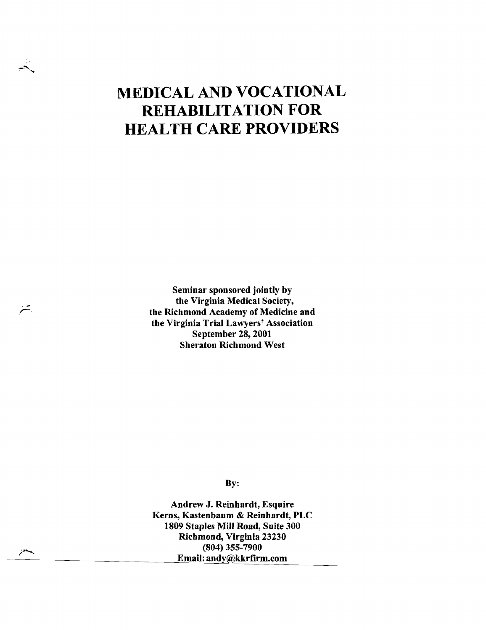# **MEDICAL AND VOCATIONAL REHABILITATION FOR HEALTH CARE PROVIDERS**

Seminar sponsored jointly by the Virginia Medical Society, the Richmond Academy of Medicine and the Virginia Trial Lawyers' Association September 28, 2001 Sheraton Richmond West

戸

By:

Andrew J. Reinhardt, Esquire Kerns, Kastenbaum & Reinhardt, PLC 1809 Staples Mill Road, Suite 300 Richmond, Virginia 23230 (804) 355-7900 Email: andy@kkrfirm.com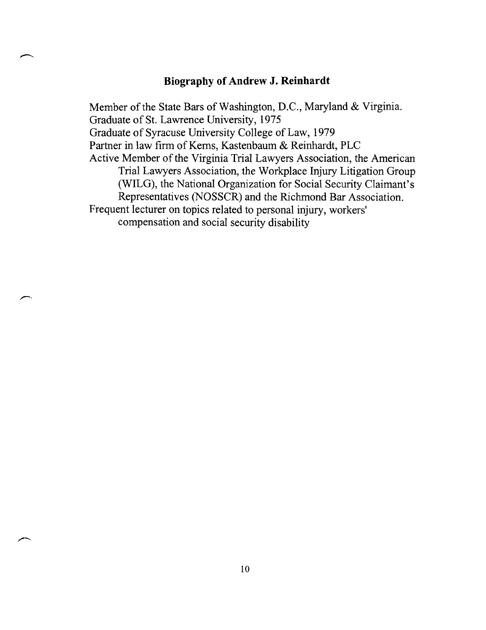#### **Biography of Andrew J. Reinhardt**

Member of the State Bars of Washington, D.C., Maryland & Virginia. Graduate of St. Lawrence University, 1975 Graduate of Syracuse University College of Law, 1979 Partner in law firm of Kerns, Kastenbaum & Reinhardt, PLC Active Member of the Virginia Trial Lawyers Association, the American Trial Lawyers Association, the Workplace Injury Litigation Group (WILG), the National Organization for Social Security Claimant's Representatives (NOSSCR) and the Richmond Bar Association. Frequent lecturer on topics related to personal injury, workers' compensation and social security disability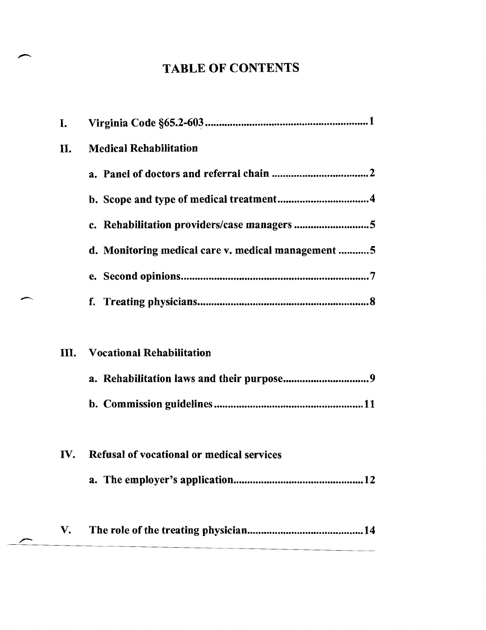## TABLE OF CONTENTS

| d. Monitoring medical care v. medical management 5 |
|----------------------------------------------------|
|                                                    |
|                                                    |
|                                                    |
|                                                    |
|                                                    |
|                                                    |
|                                                    |
|                                                    |
|                                                    |
|                                                    |
|                                                    |
|                                                    |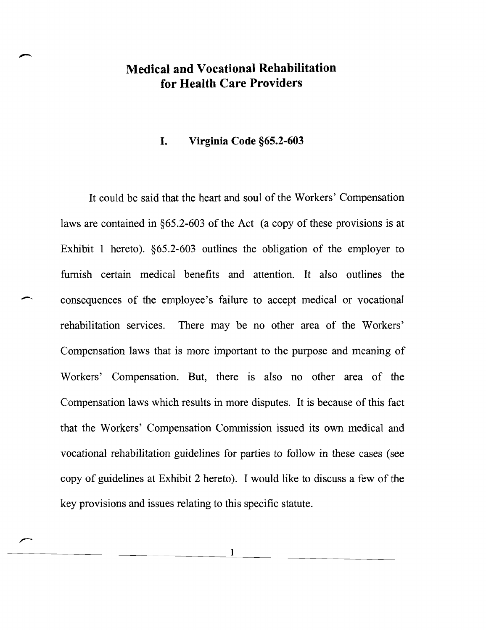## **Medical and Vocational Rehabilitation for Health Care Providers**

#### **I. Virginia Code §65.2-603**

It could be said that the heart and soul of the Workers' Compensation laws are contained in §65.2-603 of the Act (a copy of these provisions is at Exhibit 1 hereto). §65.2-603 outlines the obligation of the employer to furnish certain medical benefits and attention. It also outlines the consequences of the employee's failure to accept medical or vocational rehabilitation services. There may be no other area of the Workers' Compensation laws that is more important to the purpose and meaning of Workers' Compensation. But, there is also no other area of the Compensation laws which results in more disputes. It is because of this fact that the Workers' Compensation Commission issued its own medical and vocational rehabilitation guidelines for parties to follow in these cases (see copy of guidelines at Exhibit 2 hereto). I would like to discuss a few of the key provisions and issues relating to this specific statute.

--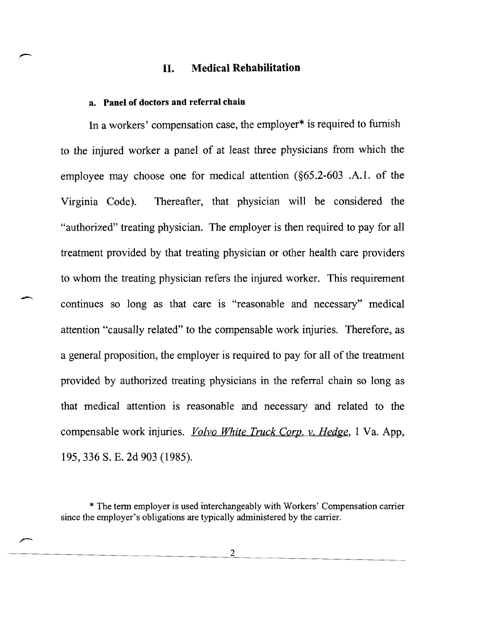#### II. Medical Rehabilitation

#### a. Panel of doctors and referral chain

In a workers' compensation case, the employer\* is required to furnish to the injured worker a panel of at least three physicians from which the employee may choose one for medical attention (§65.2-603 .A.I. of the Virginia Code). Thereafter, that physician will be considered the "authorized" treating physician. The employer is then required to pay for all treatment provided by that treating physician or other health care providers to whom the treating physician refers the injured worker. This requirement continues so long as that care is "reasonable and necessary" medical attention "causally related" to the compensable work injuries. Therefore, as a general proposition, the employer is required to pay for all of the treatment provided by authorized treating physicians in the referral chain so long as that medical attention is reasonable and necessary and related to the compensable work injuries. *Volvo White Truck Corp.* v. *Hedge,* 1 Va. App, 195,336 S. E. 2d 903 (1985).

<sup>\*</sup> The tenn employer is used interchangeably with Workers' Compensation carrier since the employer's obligations are typically administered by the carrier.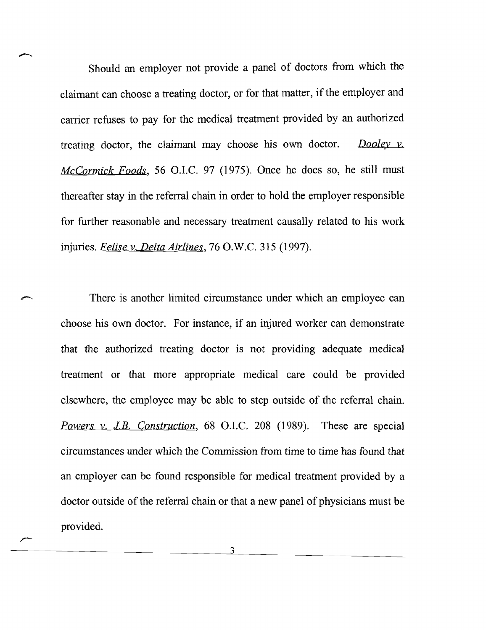Should an employer not provide a panel of doctors from which the claimant can choose a treating doctor, or for that matter, if the employer and carrier refuses to pay for the medical treatment provided by an authorized treating doctor, the claimant may choose his own doctor. *Dooley v. McCormick Foods*, 56 O.I.C. 97 (1975). Once he does so, he still must thereafter stay in the referral chain in order to hold the employer responsible for further reasonable and necessary treatment causally related to his work injuries. *Felise v. Delta Airlines*, 76 O.W.C. 315 (1997).

There is another limited circumstance under which an employee can choose his own doctor. For instance, if an injured worker can demonstrate that the authorized treating doctor is not providing adequate medical treatment or that more appropriate medical care could be provided elsewhere, the employee may be able to step outside of the referral chain. *Powers v. J.B. Construction*, 68 O.I.C. 208 (1989). These are special circumstances under which the Commission from time to time has found that an employer can be found responsible for medical treatment provided by a doctor outside of the referral chain or that a new panel of physicians must be provided.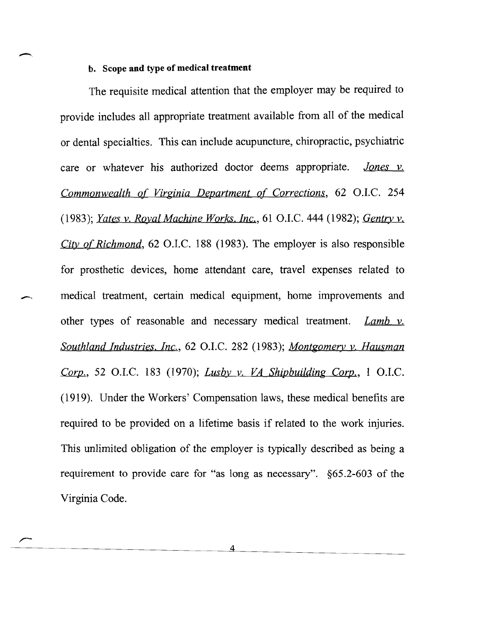#### **b. Scope and type of medical treatment**

-,

The requisite medical attention that the employer may be required to provide includes all appropriate treatment available from all of the medical or dental specialties. This can include acupuncture, chiropractic, psychiatric care or whatever his authorized doctor deems appropriate. *Jones v. Commonwealth of Virginia Department of Corrections, 62 O.I.C. 254 (1983); Yates v. Royal Machine Works. Inc.,* 61 a.I.c. 444 (1982); *Gentry* v. *City of Richmond*, 62 O.I.C. 188 (1983). The employer is also responsible for prosthetic devices, home attendant care, travel expenses related to medical treatment, certain medical equipment, home improvements and other types of reasonable and necessary medical treatment. *Lamb* v. *Southland Industries. Inc., 62 O.I.C. 282 (1983); Montgomery y. Hausman Corp.*, 52 O.I.C. 183 (1970); *Lusby v. VA Shipbuilding Corp.*, 1 O.I.C. (1919). Under the Workers' Compensation laws, these medical benefits are required to be provided on a lifetime basis if related to the work injuries. This unlimited obligation of the employer is typically described as being a requirement to provide care for "as long as necessary". §65.2-603 of the Virginia Code.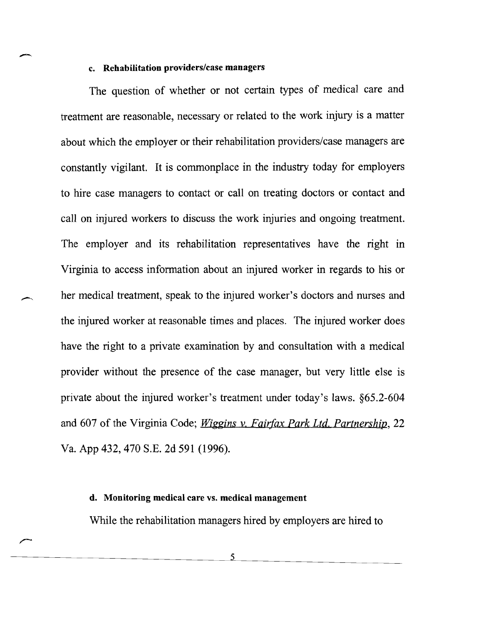#### c. Rehabilitation providers/case managers

 $\overline{\phantom{a}}$ 

The question of whether or not certain types of medical care and treatment are reasonable, necessary or related to the work injury is a matter about which the employer or their rehabilitation providers/case managers are constantly vigilant. It is commonplace in the industry today for employers to hire case managers to contact or call on treating doctors or contact and call on injured workers to discuss the work injuries and ongoing treatment. The employer and its rehabilitation representatives have the right in Virginia to access information about an injured worker in regards to his or her medical treatment, speak to the injured worker's doctors and nurses and the injured worker at reasonable times and places. The injured worker does have the right to a private examination by and consultation with a medical provider without the presence of the case manager, but very little else is private about the injured worker's treatment under today's laws. §65.2-604 and 607 of the Virginia Code; *Wiggins* v. *Fairfax Park Ltd. Partnership, 22*  Va. App 432,470 S.E. 2d 591 (1996).

#### d. Monitoring medical care vs. medical management

While the rehabilitation managers hired by employers are hired to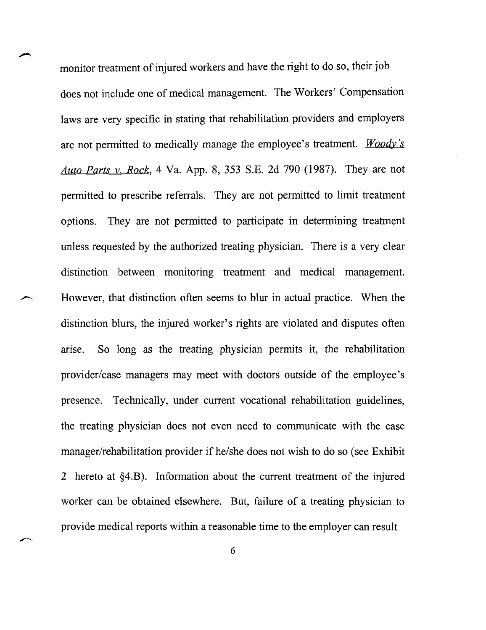monitor treatment of injured workers and have the right to do so, their job does not include one of medical management. The Workers' Compensation laws are very specific in stating that rehabilitation providers and employers are not permitted to medically manage the employee's treatment. *Woody's Auto Parts* v. *Rock,* 4 Va. App. 8, 353 S.E. 2d 790 (1987). They are not permitted to prescribe referrals. They are not permitted to limit treatment options. They are not permitted to participate in determining treatment unless requested by the authorized treating physician. There is a very clear distinction between monitoring treatment and medical management. However, that distinction often seems to blur in actual practice. When the distinction blurs, the injured worker's rights are violated and disputes often arise. So long as the treating physician permits it, the rehabilitation provider/case managers may meet with doctors outside of the employee's presence. Technically, under current vocational rehabilitation guidelines, the treating physician does not even need to communicate with the case manager/rehabilitation provider if he/she does not wish to do so (see Exhibit 2 hereto at §4.B). Information about the current treatment of the injured worker can be obtained elsewhere. But, failure of a treating physician to provide medical reports within a reasonable time to the employer can result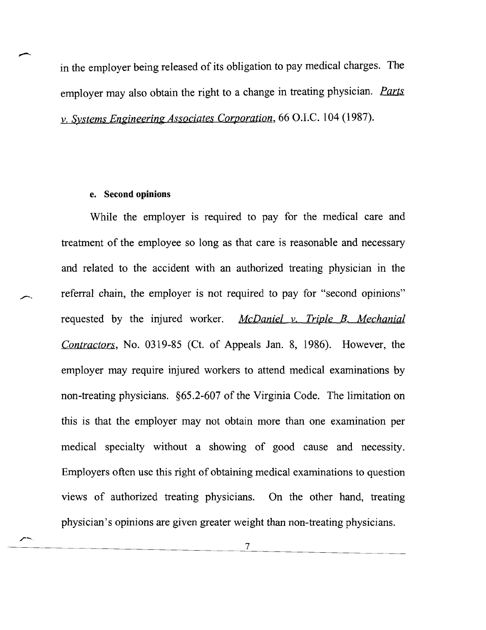in the employer being released of its obligation to pay medical charges. The employer may also obtain the right to a change in treating physician. Parts v. *Systems Engineering Associates Corporation,* 66 O.I.C. 104 (1987).

#### e. **Second opinions**

While the employer is required to pay for the medical care and treatment of the employee so long as that care is reasonable and necessary and related to the accident with an authorized treating physician in the referral chain, the employer is not required to pay for "second opinions" requested by the injured worker. *McDaniel v. Triple B. Mechanial Contractors,* No. 0319-85 (Ct. of Appeals Jan. 8, 1986). However, the employer may require injured workers to attend medical examinations by non-treating physicians. §65.2-607 of the Virginia Code. The limitation on this is that the employer may not obtain more than one examination per medical specialty without a showing of good cause and necessity. Employers often use this right of obtaining medical examinations to question views of authorized treating physicians. On the other hand, treating physician's opinions are given greater weight than non-treating physicians.

7

<u> La Carlo de la Carlo de la Carlo de la Carlo de la Carlo de la Carlo de la Carlo de la Carlo de la Carlo de l</u>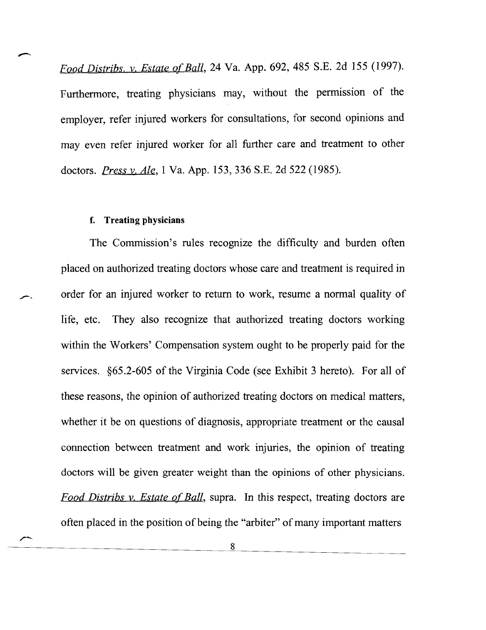*Food Distribs.* v. *Estate Qj'Ball,* 24 Va. App. 692, 485 S.E. 2d 155 (1997). Furthermore, treating physicians may, without the permission of the employer, refer injured workers for consultations, for second opinions and may even refer injured worker for all further care and treatment to other doctors. *Press y. Ale,* 1 Va. App. 153,336 S.B. 2d 522 (1985).

#### f. Treating physicians

The Commission's rules recognize the difficulty and burden often placed on authorized treating doctors whose care and treatment is required in order for an injured worker to return to work, resume a normal quality of life, etc. They also recognize that authorized treating doctors working within the Workers' Compensation system ought to be properly paid for the services. §65.2-605 of the Virginia Code (see Exhibit 3 hereto). For all of these reasons, the opinion of authorized treating doctors on medical matters, whether it be on questions of diagnosis, appropriate treatment or the causal connection between treatment and work injuries, the opinion of treating doctors will be given greater weight than the opinions of other physicians. *Food Distribs v. Estate of Ball*, supra. In this respect, treating doctors are often placed in the position of being the "arbiter" of many important matters

> 8  $\overline{a}$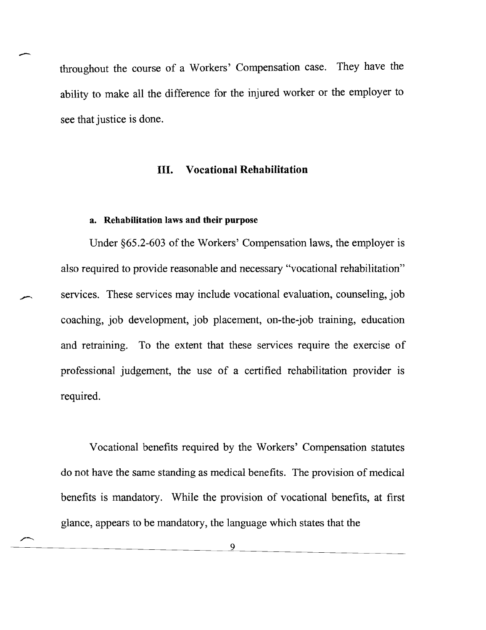throughout the course of a Workers' Compensation case. They have the ability to make all the difference for the injured worker or the employer to see that justice is done.

#### **III. Vocational Rehabilitation**

#### **a. Rehabilitation laws and their purpose**

 $\overline{\phantom{a}}$ 

Under §65.2-603 of the Workers' Compensation laws, the employer is also required to provide reasonable and necessary "vocational rehabilitation" services. These services may include vocational evaluation, counseling, job coaching, job development, job placement, on-the-job training, education and retraining. To the extent that these services require the exercise of professional judgement, the use of a certified rehabilitation provider is required.

Vocational benefits required by the Workers' Compensation statutes do not have the same standing as medical benefits. The provision of medical benefits is mandatory. While the provision of vocational benefits, at first glance, appears to be mandatory, the language which states that the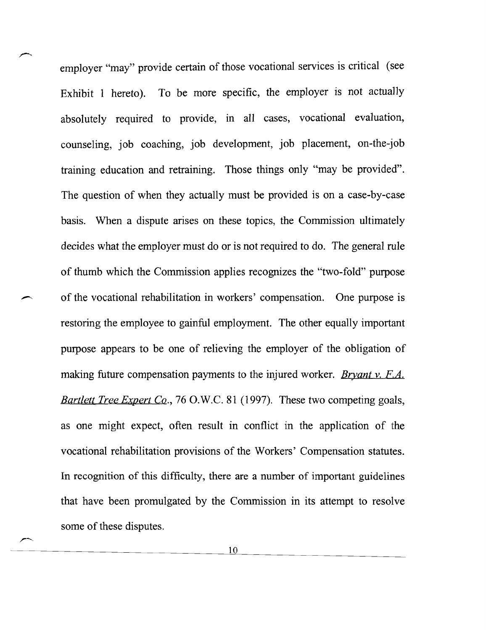employer "may" provide certain of those vocational services is critical (see Exhibit 1 hereto). To be more specific, the employer is not actually absolutely required to provide, in all cases, vocational evaluation, counseling, job coaching, job development, job placement, on-the-job training education and retraining. Those things only "may be provided". The question of when they actually must be provided is on a case-by-case basis. When a dispute arises on these topics, the Commission ultimately decides what the employer must do or is not required to do. The general rule of thumb which the Commission applies recognizes the "two-fold" purpose of the vocational rehabilitation in workers' compensation. One purpose is restoring the employee to gainful employment. The other equally important purpose appears to be one of relieving the employer of the obligation of making future compensation payments to the injured worker. *Bryant v. F.A. Bartlett Tree Expert Co.*, 76 O.W.C. 81 (1997). These two competing goals, as one might expect, often result in conflict in the application of the vocational rehabilitation provisions of the Workers' Compensation statutes. In recognition of this difficulty, there are a number of important guidelines that have been promulgated by the Commission in its attempt to resolve some of these disputes.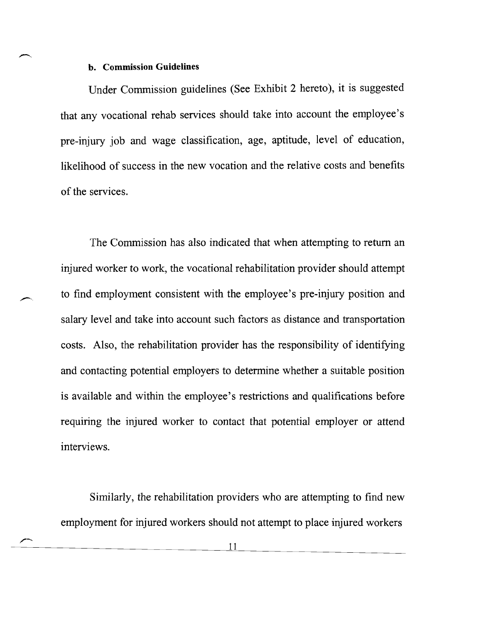#### **b. Commission Guidelines**

Under Commission guidelines (See Exhibit 2 hereto), it is suggested that any vocational rehab services should take into account the employee's pre-injury job and wage classification, age, aptitude, level of education, likelihood of success in the new vocation and the relative costs and benefits of the services.

The Commission has also indicated that when attempting to return an injured worker to work, the vocational rehabilitation provider should attempt to find employment consistent with the employee's pre-injury position and salary level and take into account such factors as distance and transportation costs. Also, the rehabilitation provider has the responsibility of identifying and contacting potential employers to determine whether a suitable position is available and within the employee's restrictions and qualifications before requiring the injured worker to contact that potential employer or attend interviews.

Similarly, the rehabilitation providers who are attempting to find new employment for injured workers should not attempt to place injured workers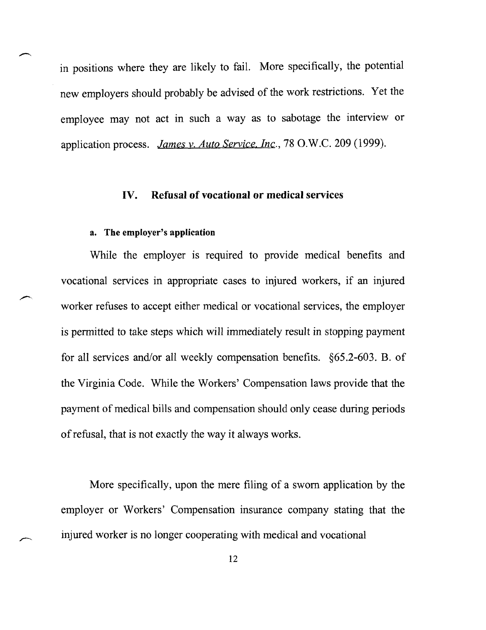in positions where they are likely to fail. More specifically, the potential new employers should probably be advised of the work restrictions. Yet the employee may not act in such a way as to sabotage the interview or application process. *James v. Auto Service. Inc.*, 78 O.W.C. 209 (1999).

#### **IV. Refusal of vocational or medical** services

#### a. The employer's application

While the employer is required to provide medical benefits and vocational services in appropriate cases to injured workers, if an injured worker refuses to accept either medical or vocational services, the employer is permitted to take steps which will immediately result in stopping payment for all services and/or all weekly compensation benefits. §65.2-603. B. of the Virginia Code. While the Workers' Compensation laws provide that the payment of medical bills and compensation should only cease during periods of refusal, that is not exactly the way it always works.

More specifically, upon the mere filing of a sworn application by the employer or Workers' Compensation insurance company stating that the injured worker is no longer cooperating with medical and vocational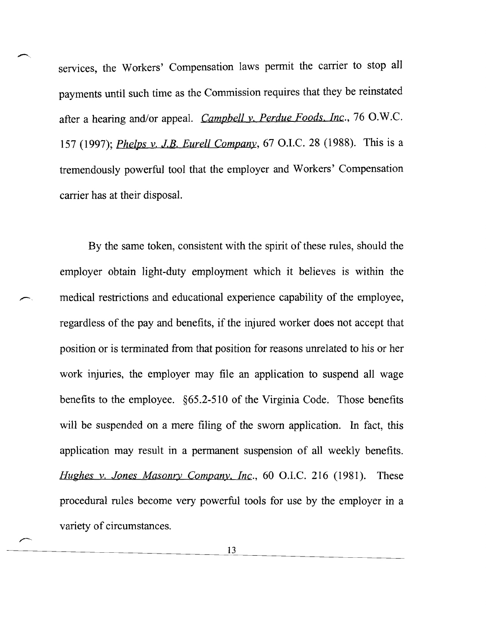services, the Workers' Compensation laws permit the carrier to stop all payments until such time as the Commission requires that they be reinstated after a hearing and/or appeal. *Campbell v. Perdue Foods. Inc.*, 76 O.W.C. 157 (1997); *Phelps v. J.B. Eurell Company*, 67 O.I.C. 28 (1988). This is a tremendously powerful tool that the employer and Workers' Compensation carrier has at their disposal.

By the same token, consistent with the spirit of these rules, should the employer obtain light-duty employment which it believes is within the medical restrictions and educational experience capability of the employee, regardless of the pay and benefits, if the injured worker does not accept that position or is terminated from that position for reasons unrelated to his or her work injuries, the employer may file an application to suspend all wage benefits to the employee. §65.2-510 of the Virginia Code. Those benefits will be suspended on a mere filing of the sworn application. In fact, this application may result in a permanent suspension of all weekly benefits. *Hughes y. Jones Masonry Company, Inc.*, 60 O.I.C. 216 (1981). These procedural rules become very powerful tools for use by the employer in a variety of circumstances.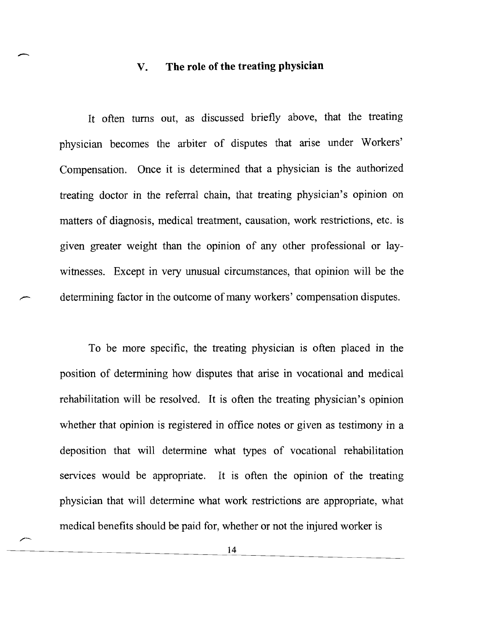## V. **The role of the treating physician**

 $\overline{\phantom{a}}$ 

It often turns out, as discussed briefly above, that the treating physician becomes the arbiter of disputes that arise under Workers' Compensation. Once it is determined that a physician is the authorized treating doctor in the referral chain, that treating physician's opinion on matters of diagnosis, medical treatment, causation, work restrictions, etc. is given greater weight than the opinion of any other professional or laywitnesses. Except in very unusual circumstances, that opinion will be the determining factor in the outcome of many workers' compensation disputes.

To be more specific, the treating physician is often placed in the position of determining how disputes that arise in vocational and medical rehabilitation will be resolved. It is often the treating physician's opinion whether that opinion is registered in office notes or given as testimony in a deposition that will determine what types of vocational rehabilitation services would be appropriate. It is often the opinion of the treating physician that will determine what work restrictions are appropriate, what medical benefits should be paid for, whether or not the injured worker is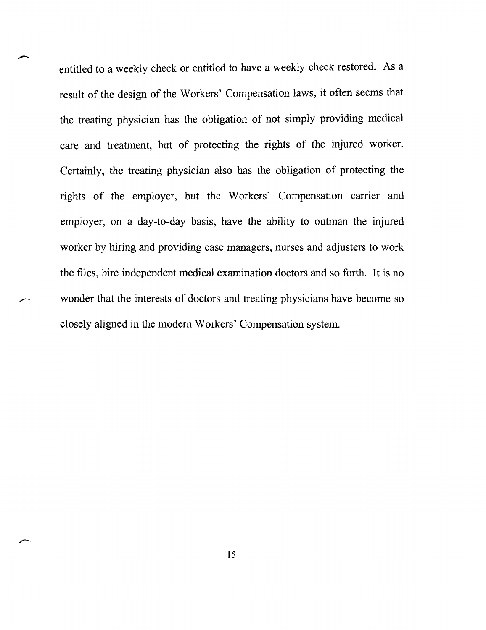entitled to a weekly check or entitled to have a weekly check restored. As a result of the design of the Workers' Compensation laws, it often seems that the treating physician has the obligation of not simply providing medical care and treatment, but of protecting the rights of the injured worker. Certainly, the treating physician also has the obligation of protecting the rights of the employer, but the Workers' Compensation carrier and employer, on a day-to-day basis, have the ability to outman the injured worker by hiring and providing case managers, nurses and adjusters to work the files, hire independent medical examination doctors and so forth. It is no wonder that the interests of doctors and treating physicians have become so closely aligned in the modem Workers' Compensation system.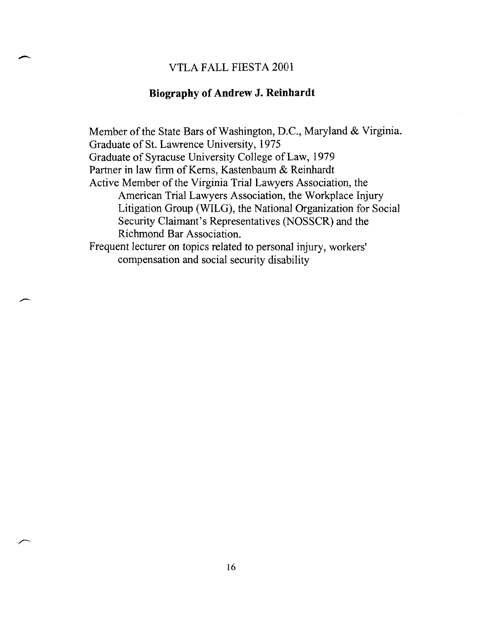#### VTLA FALL FIESTA 2001

#### **Biography of Andrew J. Reinhardt**

Member of the State Bars of Washington, D.C., Maryland & Virginia. Graduate of St. Lawrence University, 1975 Graduate of Syracuse University College of Law, 1979 Partner in law firm of Kerns, Kastenbaum & Reinhardt Active Member of the Virginia Trial Lawyers Association, the American Trial Lawyers Association, the Workplace Injury Litigation Group (WILG), the National Organization for Social Security Claimant's Representatives (NOSSCR) and the Richmond Bar Association. Frequent lecturer on topics related to personal injury, workers' compensation and social security disability